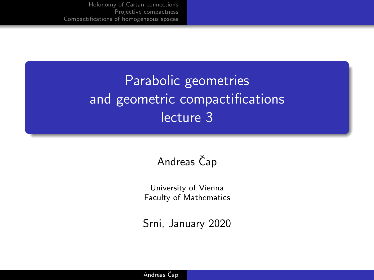# Parabolic geometries and geometric compactifications lecture 3

### Andreas Čap

University of Vienna Faculty of Mathematics

Srni, January 2020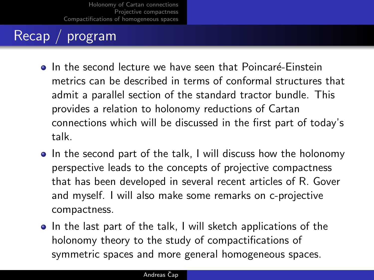# Recap / program

- In the second lecture we have seen that Poincaré-Einstein metrics can be described in terms of conformal structures that admit a parallel section of the standard tractor bundle. This provides a relation to holonomy reductions of Cartan connections which will be discussed in the first part of today's talk.
- In the second part of the talk, I will discuss how the holonomy perspective leads to the concepts of projective compactness that has been developed in several recent articles of R. Gover and myself. I will also make some remarks on c-projective compactness.
- In the last part of the talk, I will sketch applications of the holonomy theory to the study of compactifications of symmetric spaces and more general homogeneous spaces.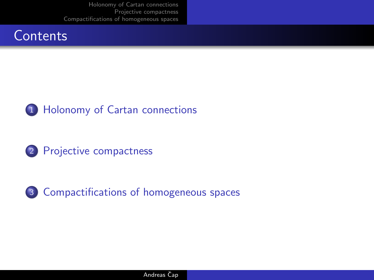





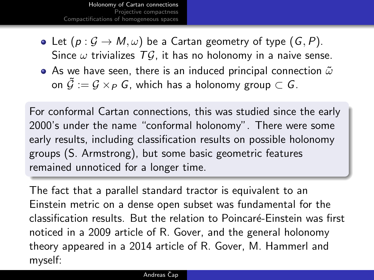- <span id="page-3-0"></span>• Let  $(p: \mathcal{G} \to M, \omega)$  be a Cartan geometry of type  $(G, P)$ . Since  $\omega$  trivializes  $T\mathcal{G}$ , it has no holonomy in a naive sense.
- $\bullet$  As we have seen, there is an induced principal connection  $\tilde{\omega}$ on  $\tilde{\mathcal{G}} := \mathcal{G} \times_{\mathcal{P}} \mathcal{G}$ , which has a holonomy group  $\subset \mathcal{G}$ .

For conformal Cartan connections, this was studied since the early 2000's under the name "conformal holonomy". There were some early results, including classification results on possible holonomy groups (S. Armstrong), but some basic geometric features remained unnoticed for a longer time.

The fact that a parallel standard tractor is equivalent to an Einstein metric on a dense open subset was fundamental for the classification results. But the relation to Poincaré-Einstein was first noticed in a 2009 article of R. Gover, and the general holonomy theory appeared in a 2014 article of R. Gover, M. Hammerl and myself: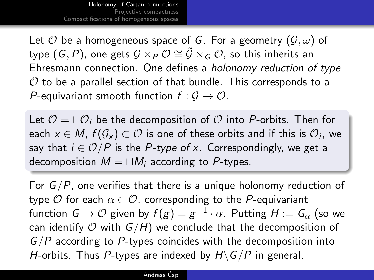Let  $\mathcal O$  be a homogeneous space of G. For a geometry  $(\mathcal G,\omega)$  of type  $(\emph{G},\emph{P})$ , one gets  $\mathcal{G}\times_P \mathcal{O} \cong \tilde{\mathcal{G}}\times_G \mathcal{O}$ , so this inherits an Ehresmann connection. One defines a holonomy reduction of type  $\mathcal O$  to be a parallel section of that bundle. This corresponds to a P-equivariant smooth function  $f: \mathcal{G} \to \mathcal{O}$ .

Let  $\mathcal{O} = \Box \mathcal{O}_i$  be the decomposition of  $\mathcal O$  into P-orbits. Then for each  $x\in M$ ,  $f(\mathcal{G}_x)\subset \mathcal{O}$  is one of these orbits and if this is  $\mathcal{O}_i$ , we say that  $i \in \mathcal{O}/P$  is the P-type of x. Correspondingly, we get a decomposition  $M = \sqcup M_i$  according to P-types.

For  $G/P$ , one verifies that there is a unique holonomy reduction of type  $\mathcal O$  for each  $\alpha \in \mathcal O$ , corresponding to the P-equivariant function  $\mathsf{G}\to\mathcal{O}$  given by  $f(g)=g^{-1}\cdot\alpha.$  Putting  $H:=\mathsf{G}_{\alpha}$  (so we can identify  $O$  with  $G/H$ ) we conclude that the decomposition of  $G/P$  according to P-types coincides with the decomposition into H-orbits. Thus P-types are indexed by  $H\backslash G/P$  in general.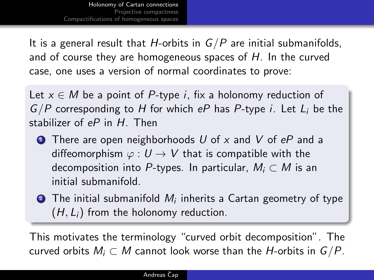It is a general result that H-orbits in  $G/P$  are initial submanifolds, and of course they are homogeneous spaces of H. In the curved case, one uses a version of normal coordinates to prove:

Let  $x \in M$  be a point of P-type *i*, fix a holonomy reduction of  $G/P$  corresponding to H for which eP has P-type i. Let  $L_i$  be the stabilizer of  $eP$  in  $H$ . Then

- **1** There are open neighborhoods U of x and V of  $eP$  and a diffeomorphism  $\varphi: U \to V$  that is compatible with the decomposition into P-types. In particular,  $M_i \subset M$  is an initial submanifold.
- $\bullet$  The initial submanifold  $M_i$  inherits a Cartan geometry of type  $(H, L_i)$  from the holonomy reduction.

This motivates the terminology "curved orbit decomposition". The curved orbits  $M_i \subset M$  cannot look worse than the *H*-orbits in  $G/P$ .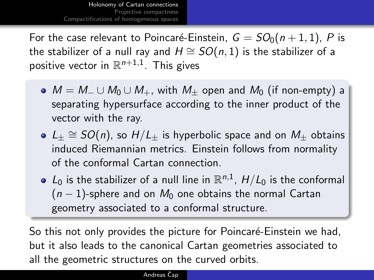For the case relevant to Poincaré-Einstein,  $G = SO_0(n + 1, 1)$ , P is the stabilizer of a null ray and  $H \cong SO(n, 1)$  is the stabilizer of a positive vector in  $\mathbb{R}^{n+1,1}$ . This gives

- $M = M_-\cup M_0\cup M_+$ , with  $M_+$  open and  $M_0$  (if non-empty) a separating hypersurface according to the inner product of the vector with the ray.
- $L_{\pm}\cong SO(n)$ , so  $H/L_{\pm}$  is hyperbolic space and on  $M_{\pm}$  obtains induced Riemannian metrics. Einstein follows from normality of the conformal Cartan connection.
- $L_0$  is the stabilizer of a null line in  $\mathbb{R}^{n,1}$ ,  $H/L_0$  is the conformal  $(n-1)$ -sphere and on  $M_0$  one obtains the normal Cartan geometry associated to a conformal structure.

So this not only provides the picture for Poincaré-Einstein we had, but it also leads to the canonical Cartan geometries associated to all the geometric structures on the curved orbits.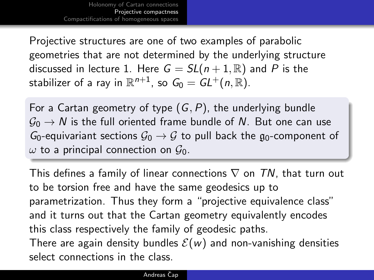<span id="page-7-0"></span>Projective structures are one of two examples of parabolic geometries that are not determined by the underlying structure discussed in lecture 1. Here  $G = SL(n+1, \mathbb{R})$  and P is the stabilizer of a ray in  $\mathbb{R}^{n+1}$ , so  $\mathit{G_{0}}=\mathit{GL^{+}}(n,\mathbb{R}).$ 

For a Cartan geometry of type  $(G, P)$ , the underlying bundle  $\mathcal{G}_0 \rightarrow N$  is the full oriented frame bundle of N. But one can use  $G_0$ -equivariant sections  $G_0 \rightarrow G$  to pull back the  $g_0$ -component of  $\omega$  to a principal connection on  $\mathcal{G}_0$ .

This defines a family of linear connections  $\nabla$  on TN, that turn out to be torsion free and have the same geodesics up to parametrization. Thus they form a "projective equivalence class" and it turns out that the Cartan geometry equivalently encodes this class respectively the family of geodesic paths. There are again density bundles  $\mathcal{E}(w)$  and non-vanishing densities select connections in the class.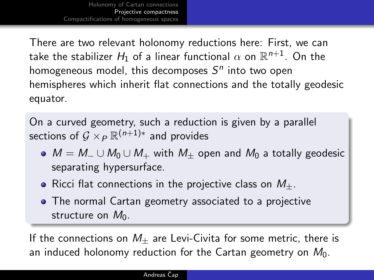There are two relevant holonomy reductions here: First, we can take the stabilizer  $H_1$  of a linear functional  $\alpha$  on  $\mathbb{R}^{n+1}.$  On the homogeneous model, this decomposes  $S<sup>n</sup>$  into two open hemispheres which inherit flat connections and the totally geodesic equator.

On a curved geometry, such a reduction is given by a parallel sections of  $\mathcal{G}\times_P \mathbb{R}^{(n+1)*}$  and provides

- $\bullet$   $M = M_{-} \cup M_{0} \cup M_{+}$  with  $M_{+}$  open and  $M_{0}$  a totally geodesic separating hypersurface.
- Ricci flat connections in the projective class on  $M_{+}$ .
- The normal Cartan geometry associated to a projective structure on  $M_0$ .

If the connections on  $M_+$  are Levi-Civita for some metric, there is an induced holonomy reduction for the Cartan geometry on  $M_0$ .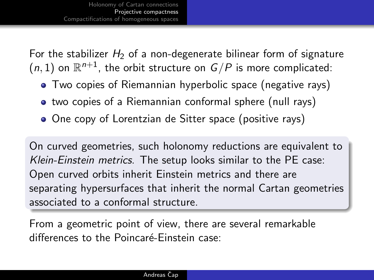For the stabilizer  $H_2$  of a non-degenerate bilinear form of signature  $(n, 1)$  on  $\mathbb{R}^{n+1}$ , the orbit structure on  $G/P$  is more complicated:

- Two copies of Riemannian hyperbolic space (negative rays)
- two copies of a Riemannian conformal sphere (null rays)
- One copy of Lorentzian de Sitter space (positive rays)

On curved geometries, such holonomy reductions are equivalent to Klein-Einstein metrics. The setup looks similar to the PE case: Open curved orbits inherit Einstein metrics and there are separating hypersurfaces that inherit the normal Cartan geometries associated to a conformal structure.

From a geometric point of view, there are several remarkable differences to the Poincaré-Einstein case: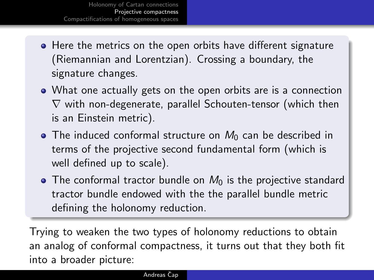- Here the metrics on the open orbits have different signature (Riemannian and Lorentzian). Crossing a boundary, the signature changes.
- What one actually gets on the open orbits are is a connection  $\nabla$  with non-degenerate, parallel Schouten-tensor (which then is an Einstein metric).
- $\bullet$  The induced conformal structure on  $M_0$  can be described in terms of the projective second fundamental form (which is well defined up to scale).
- The conformal tractor bundle on  $M_0$  is the projective standard tractor bundle endowed with the the parallel bundle metric defining the holonomy reduction.

Trying to weaken the two types of holonomy reductions to obtain an analog of conformal compactness, it turns out that they both fit into a broader picture: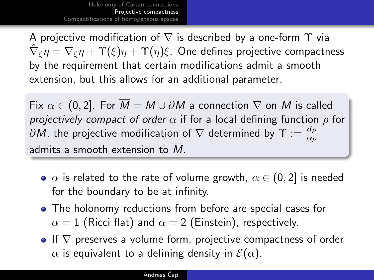A projective modification of  $\nabla$  is described by a one-form  $\Upsilon$  via  $\hat\nabla_\xi\eta=\nabla_\xi\eta+\Upsilon(\xi)\eta+\Upsilon(\eta)\xi.$  One defines projective compactness by the requirement that certain modifications admit a smooth extension, but this allows for an additional parameter.

Fix  $\alpha \in (0, 2]$ . For  $\overline{M} = M \cup \partial M$  a connection  $\nabla$  on M is called projectively compact of order  $\alpha$  if for a local defining function  $\rho$  for  $\partial M$ , the projective modification of  $\nabla$  determined by  $\Upsilon:=\frac{d\rho}{\alpha\rho}$ admits a smooth extension to  $\overline{M}$ .

- $\alpha$  is related to the rate of volume growth,  $\alpha \in (0, 2]$  is needed for the boundary to be at infinity.
- The holonomy reductions from before are special cases for  $\alpha = 1$  (Ricci flat) and  $\alpha = 2$  (Einstein), respectively.
- $\bullet$  If  $\nabla$  preserves a volume form, projective compactness of order  $\alpha$  is equivalent to a defining density in  $\mathcal{E}(\alpha)$ .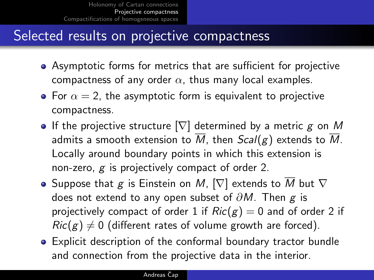## Selected results on projective compactness

- Asymptotic forms for metrics that are sufficient for projective compactness of any order  $\alpha$ , thus many local examples.
- For  $\alpha = 2$ , the asymptotic form is equivalent to projective compactness.
- If the projective structure  $[\nabla]$  determined by a metric g on M admits a smooth extension to  $\overline{M}$ , then  $Scal(g)$  extends to M. Locally around boundary points in which this extension is non-zero,  $g$  is projectively compact of order 2.
- Suppose that g is Einstein on M,  $[\nabla]$  extends to  $\overline{M}$  but  $\nabla$ does not extend to any open subset of  $\partial M$ . Then g is projectively compact of order 1 if  $Ric(g) = 0$  and of order 2 if  $Ric(g) \neq 0$  (different rates of volume growth are forced).
- Explicit description of the conformal boundary tractor bundle and connection from the projective data in the interior.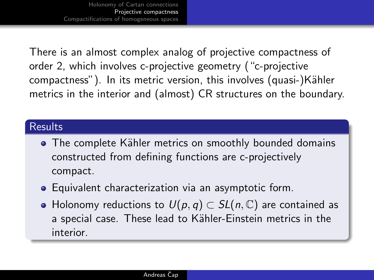There is an almost complex analog of projective compactness of order 2, which involves c-projective geometry ("c-projective compactness"). In its metric version, this involves (quasi-)Kähler metrics in the interior and (almost) CR structures on the boundary.

#### **Results**

- The complete Kähler metrics on smoothly bounded domains constructed from defining functions are c-projectively compact.
- Equivalent characterization via an asymptotic form.
- $\bullet$  Holonomy reductions to  $U(p,q) \subset SL(n,\mathbb{C})$  are contained as a special case. These lead to Kähler-Einstein metrics in the interior.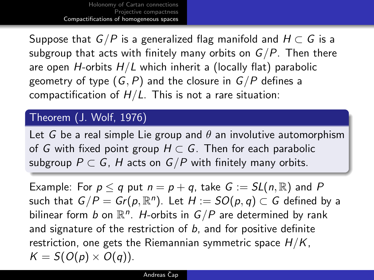<span id="page-14-0"></span>Suppose that  $G/P$  is a generalized flag manifold and  $H \subset G$  is a subgroup that acts with finitely many orbits on  $G/P$ . Then there are open H-orbits  $H/L$  which inherit a (locally flat) parabolic geometry of type  $(G, P)$  and the closure in  $G/P$  defines a compactification of  $H/L$ . This is not a rare situation:

### Theorem (J. Wolf, 1976)

Let G be a real simple Lie group and  $\theta$  an involutive automorphism of G with fixed point group  $H \subset G$ . Then for each parabolic subgroup  $P \subset G$ , H acts on  $G/P$  with finitely many orbits.

Example: For  $p \leq q$  put  $n = p + q$ , take  $G := SL(n, \mathbb{R})$  and P such that  $G/P = Gr(p, \mathbb{R}^n)$ . Let  $H := SO(p, q) \subset G$  defined by a bilinear form b on  $\mathbb{R}^n$ . H-orbits in  $G/P$  are determined by rank and signature of the restriction of  $b$ , and for positive definite restriction, one gets the Riemannian symmetric space  $H/K$ .  $K = S(O(p) \times O(q)).$